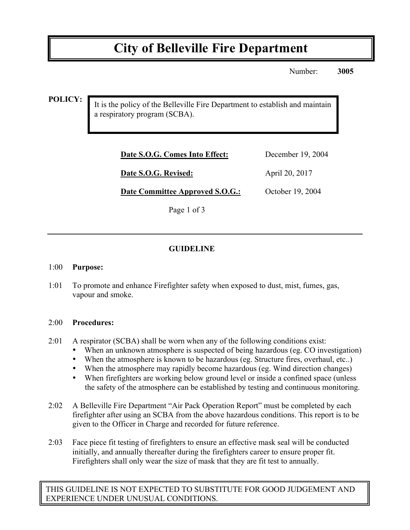# **City of Belleville Fire Department**

Number: **3005**

**POLICY:**

It is the policy of the Belleville Fire Department to establish and maintain a respiratory program (SCBA).

| Date S.O.G. Comes Into Effect: | December 19, 2004 |
|--------------------------------|-------------------|
| Date S.O.G. Revised:           | April 20, 2017    |

**Date Committee Approved S.O.G.:** October 19, 2004

Page 1 of 3

## **GUIDELINE**

#### 1:00 **Purpose:**

1:01 To promote and enhance Firefighter safety when exposed to dust, mist, fumes, gas, vapour and smoke.

#### 2:00 **Procedures:**

- 2:01 A respirator (SCBA) shall be worn when any of the following conditions exist:
	- When an unknown atmosphere is suspected of being hazardous (eg. CO investigation)
	- When the atmosphere is known to be hazardous (eg. Structure fires, overhaul, etc..)
	- When the atmosphere may rapidly become hazardous (eg. Wind direction changes)
	- When firefighters are working below ground level or inside a confined space (unless the safety of the atmosphere can be established by testing and continuous monitoring.
- 2:02 A Belleville Fire Department "Air Pack Operation Report" must be completed by each firefighter after using an SCBA from the above hazardous conditions. This report is to be given to the Officer in Charge and recorded for future reference.
- 2:03 Face piece fit testing of firefighters to ensure an effective mask seal will be conducted initially, and annually thereafter during the firefighters career to ensure proper fit. Firefighters shall only wear the size of mask that they are fit test to annually.

THIS GUIDELINE IS NOT EXPECTED TO SUBSTITUTE FOR GOOD JUDGEMENT AND EXPERIENCE UNDER UNUSUAL CONDITIONS.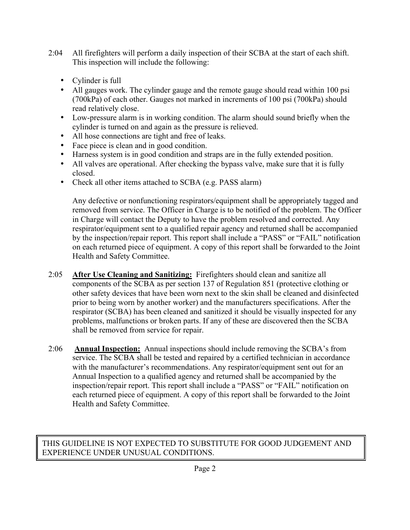- 2:04 All firefighters will perform a daily inspection of their SCBA at the start of each shift. This inspection will include the following:
	- Cylinder is full
	- All gauges work. The cylinder gauge and the remote gauge should read within 100 psi (700kPa) of each other. Gauges not marked in increments of 100 psi (700kPa) should read relatively close.
	- Low-pressure alarm is in working condition. The alarm should sound briefly when the cylinder is turned on and again as the pressure is relieved.
	- All hose connections are tight and free of leaks.
	- Face piece is clean and in good condition.
	- Harness system is in good condition and straps are in the fully extended position.
	- All valves are operational. After checking the bypass valve, make sure that it is fully closed.
	- Check all other items attached to SCBA (e.g. PASS alarm)

Any defective or nonfunctioning respirators/equipment shall be appropriately tagged and removed from service. The Officer in Charge is to be notified of the problem. The Officer in Charge will contact the Deputy to have the problem resolved and corrected. Any respirator/equipment sent to a qualified repair agency and returned shall be accompanied by the inspection/repair report. This report shall include a "PASS" or "FAIL" notification on each returned piece of equipment. A copy of this report shall be forwarded to the Joint Health and Safety Committee.

- 2:05 **After Use Cleaning and Sanitizing:** Firefighters should clean and sanitize all components of the SCBA as per section 137 of Regulation 851 (protective clothing or other safety devices that have been worn next to the skin shall be cleaned and disinfected prior to being worn by another worker) and the manufacturers specifications. After the respirator (SCBA) has been cleaned and sanitized it should be visually inspected for any problems, malfunctions or broken parts. If any of these are discovered then the SCBA shall be removed from service for repair.
- 2:06 **Annual Inspection:** Annual inspections should include removing the SCBA's from service. The SCBA shall be tested and repaired by a certified technician in accordance with the manufacturer's recommendations. Any respirator/equipment sent out for an Annual Inspection to a qualified agency and returned shall be accompanied by the inspection/repair report. This report shall include a "PASS" or "FAIL" notification on each returned piece of equipment. A copy of this report shall be forwarded to the Joint Health and Safety Committee.

# THIS GUIDELINE IS NOT EXPECTED TO SUBSTITUTE FOR GOOD JUDGEMENT AND EXPERIENCE UNDER UNUSUAL CONDITIONS.